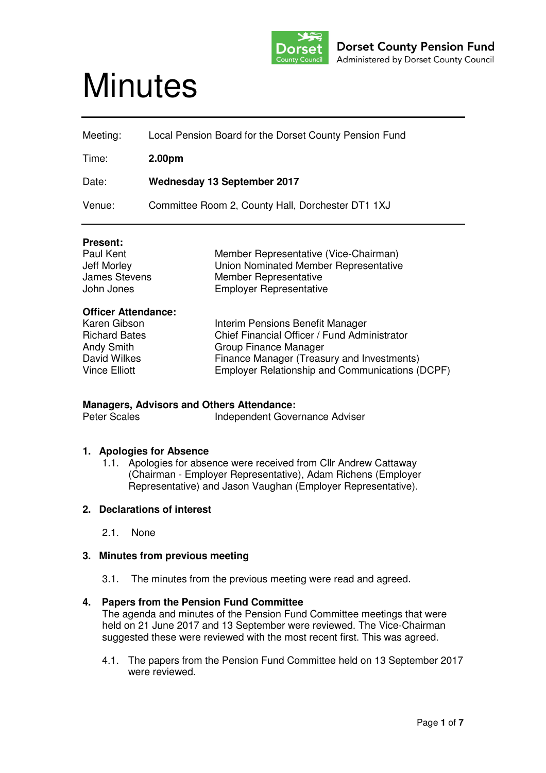

# **Minutes**

| Meeting: | Local Pension Board for the Dorset County Pension Fund |
|----------|--------------------------------------------------------|
| Time:    | 2.00 <sub>pm</sub>                                     |
| Date:    | <b>Wednesday 13 September 2017</b>                     |
| Venue:   | Committee Room 2, County Hall, Dorchester DT1 1XJ      |

#### **Present:**

| Paul Kent            | Member Representative (Vice-Chairman) |
|----------------------|---------------------------------------|
| Jeff Morley          | Union Nominated Member Representative |
| <b>James Stevens</b> | Member Representative                 |
| John Jones           | <b>Employer Representative</b>        |

#### **Officer Attendance:**

| Karen Gibson         | Interim Pensions Benefit Manager                |
|----------------------|-------------------------------------------------|
| <b>Richard Bates</b> | Chief Financial Officer / Fund Administrator    |
| Andy Smith           | Group Finance Manager                           |
| David Wilkes         | Finance Manager (Treasury and Investments)      |
| <b>Vince Elliott</b> | Employer Relationship and Communications (DCPF) |

**Managers, Advisors and Others Attendance:**  Independent Governance Adviser

#### **1. Apologies for Absence**

1.1. Apologies for absence were received from Cllr Andrew Cattaway (Chairman - Employer Representative), Adam Richens (Employer Representative) and Jason Vaughan (Employer Representative).

#### **2. Declarations of interest**

2.1. None

#### **3. Minutes from previous meeting**

3.1. The minutes from the previous meeting were read and agreed.

# **4. Papers from the Pension Fund Committee**

The agenda and minutes of the Pension Fund Committee meetings that were held on 21 June 2017 and 13 September were reviewed. The Vice-Chairman suggested these were reviewed with the most recent first. This was agreed.

4.1. The papers from the Pension Fund Committee held on 13 September 2017 were reviewed.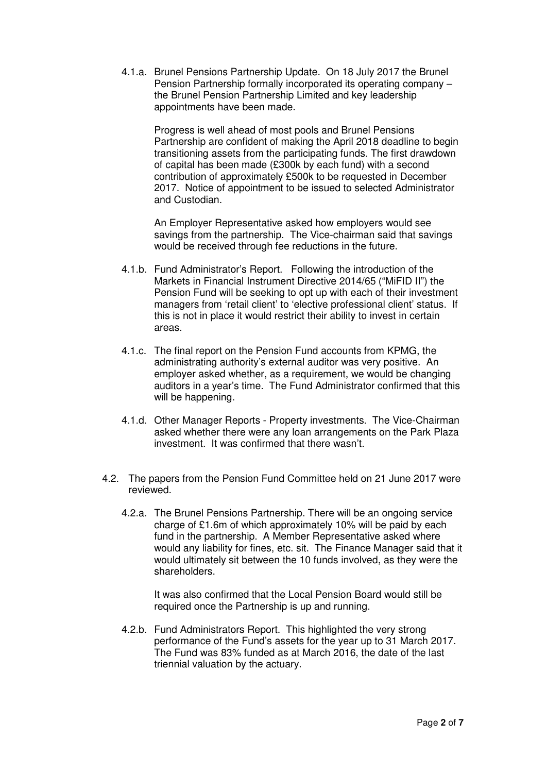4.1.a. Brunel Pensions Partnership Update. On 18 July 2017 the Brunel Pension Partnership formally incorporated its operating company – the Brunel Pension Partnership Limited and key leadership appointments have been made.

Progress is well ahead of most pools and Brunel Pensions Partnership are confident of making the April 2018 deadline to begin transitioning assets from the participating funds. The first drawdown of capital has been made (£300k by each fund) with a second contribution of approximately £500k to be requested in December 2017. Notice of appointment to be issued to selected Administrator and Custodian.

An Employer Representative asked how employers would see savings from the partnership. The Vice-chairman said that savings would be received through fee reductions in the future.

- 4.1.b. Fund Administrator's Report. Following the introduction of the Markets in Financial Instrument Directive 2014/65 ("MiFID II") the Pension Fund will be seeking to opt up with each of their investment managers from 'retail client' to 'elective professional client' status. If this is not in place it would restrict their ability to invest in certain areas.
- 4.1.c. The final report on the Pension Fund accounts from KPMG, the administrating authority's external auditor was very positive. An employer asked whether, as a requirement, we would be changing auditors in a year's time. The Fund Administrator confirmed that this will be happening.
- 4.1.d. Other Manager Reports Property investments. The Vice-Chairman asked whether there were any loan arrangements on the Park Plaza investment. It was confirmed that there wasn't.
- 4.2. The papers from the Pension Fund Committee held on 21 June 2017 were reviewed.
	- 4.2.a. The Brunel Pensions Partnership. There will be an ongoing service charge of £1.6m of which approximately 10% will be paid by each fund in the partnership. A Member Representative asked where would any liability for fines, etc. sit. The Finance Manager said that it would ultimately sit between the 10 funds involved, as they were the shareholders.

It was also confirmed that the Local Pension Board would still be required once the Partnership is up and running.

4.2.b. Fund Administrators Report. This highlighted the very strong performance of the Fund's assets for the year up to 31 March 2017. The Fund was 83% funded as at March 2016, the date of the last triennial valuation by the actuary.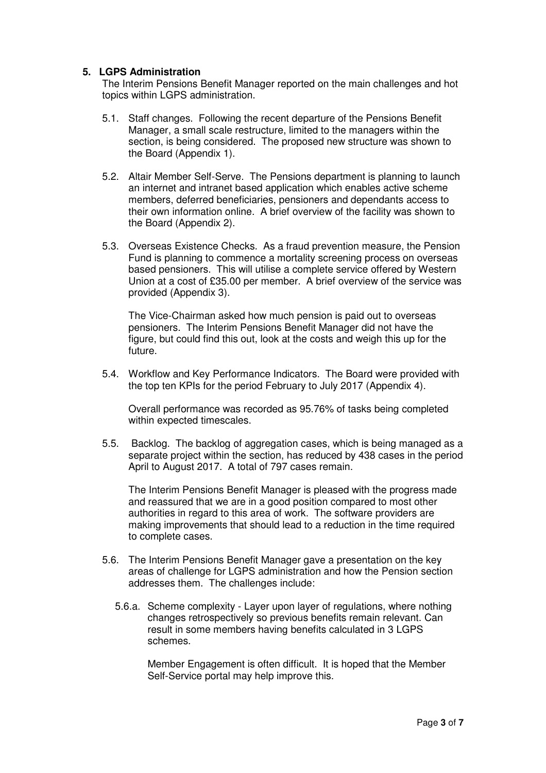## **5. LGPS Administration**

The Interim Pensions Benefit Manager reported on the main challenges and hot topics within LGPS administration.

- 5.1. Staff changes. Following the recent departure of the Pensions Benefit Manager, a small scale restructure, limited to the managers within the section, is being considered. The proposed new structure was shown to the Board (Appendix 1).
- 5.2. Altair Member Self-Serve. The Pensions department is planning to launch an internet and intranet based application which enables active scheme members, deferred beneficiaries, pensioners and dependants access to their own information online. A brief overview of the facility was shown to the Board (Appendix 2).
- 5.3. Overseas Existence Checks. As a fraud prevention measure, the Pension Fund is planning to commence a mortality screening process on overseas based pensioners. This will utilise a complete service offered by Western Union at a cost of £35.00 per member. A brief overview of the service was provided (Appendix 3).

The Vice-Chairman asked how much pension is paid out to overseas pensioners. The Interim Pensions Benefit Manager did not have the figure, but could find this out, look at the costs and weigh this up for the future.

5.4. Workflow and Key Performance Indicators. The Board were provided with the top ten KPIs for the period February to July 2017 (Appendix 4).

Overall performance was recorded as 95.76% of tasks being completed within expected timescales.

5.5. Backlog. The backlog of aggregation cases, which is being managed as a separate project within the section, has reduced by 438 cases in the period April to August 2017. A total of 797 cases remain.

The Interim Pensions Benefit Manager is pleased with the progress made and reassured that we are in a good position compared to most other authorities in regard to this area of work. The software providers are making improvements that should lead to a reduction in the time required to complete cases.

- 5.6. The Interim Pensions Benefit Manager gave a presentation on the key areas of challenge for LGPS administration and how the Pension section addresses them. The challenges include:
	- 5.6.a. Scheme complexity Layer upon layer of regulations, where nothing changes retrospectively so previous benefits remain relevant. Can result in some members having benefits calculated in 3 LGPS schemes.

Member Engagement is often difficult. It is hoped that the Member Self-Service portal may help improve this.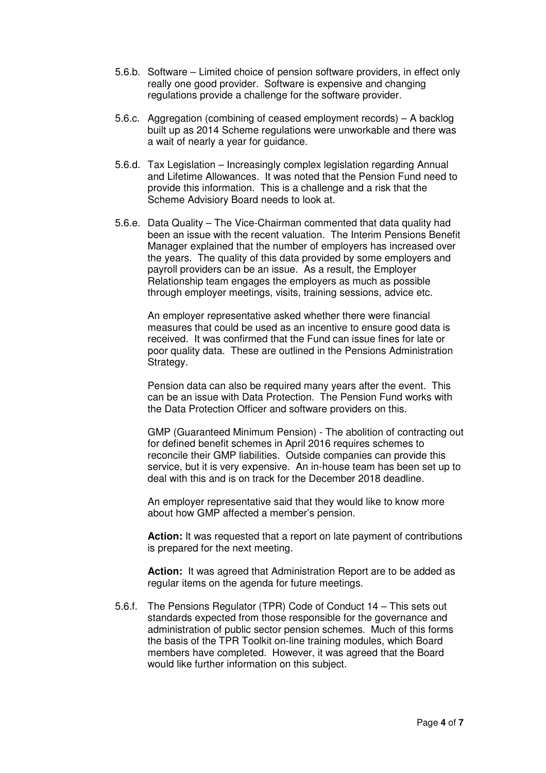- 5.6.b. Software Limited choice of pension software providers, in effect only really one good provider. Software is expensive and changing regulations provide a challenge for the software provider.
- 5.6.c. Aggregation (combining of ceased employment records) A backlog built up as 2014 Scheme regulations were unworkable and there was a wait of nearly a year for guidance.
- 5.6.d. Tax Legislation Increasingly complex legislation regarding Annual and Lifetime Allowances. It was noted that the Pension Fund need to provide this information. This is a challenge and a risk that the Scheme Advisiory Board needs to look at.
- 5.6.e. Data Quality The Vice-Chairman commented that data quality had been an issue with the recent valuation. The Interim Pensions Benefit Manager explained that the number of employers has increased over the years. The quality of this data provided by some employers and payroll providers can be an issue. As a result, the Employer Relationship team engages the employers as much as possible through employer meetings, visits, training sessions, advice etc.

An employer representative asked whether there were financial measures that could be used as an incentive to ensure good data is received. It was confirmed that the Fund can issue fines for late or poor quality data. These are outlined in the Pensions Administration Strategy.

Pension data can also be required many years after the event. This can be an issue with Data Protection. The Pension Fund works with the Data Protection Officer and software providers on this.

GMP (Guaranteed Minimum Pension) - The abolition of contracting out for defined benefit schemes in April 2016 requires schemes to reconcile their GMP liabilities. Outside companies can provide this service, but it is very expensive. An in-house team has been set up to deal with this and is on track for the December 2018 deadline.

An employer representative said that they would like to know more about how GMP affected a member's pension.

Action: It was requested that a report on late payment of contributions is prepared for the next meeting.

**Action:** It was agreed that Administration Report are to be added as regular items on the agenda for future meetings.

5.6.f. The Pensions Regulator (TPR) Code of Conduct 14 – This sets out standards expected from those responsible for the governance and administration of public sector pension schemes. Much of this forms the basis of the TPR Toolkit on-line training modules, which Board members have completed. However, it was agreed that the Board would like further information on this subject.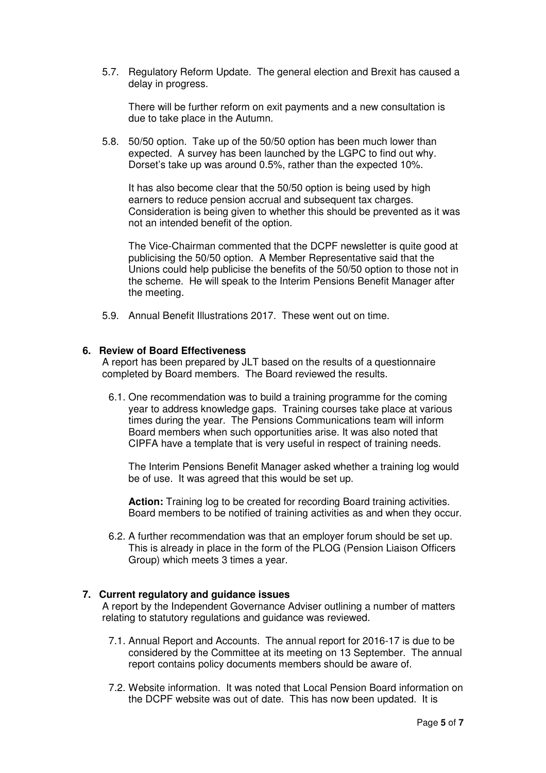5.7. Regulatory Reform Update. The general election and Brexit has caused a delay in progress.

There will be further reform on exit payments and a new consultation is due to take place in the Autumn.

5.8. 50/50 option. Take up of the 50/50 option has been much lower than expected. A survey has been launched by the LGPC to find out why. Dorset's take up was around 0.5%, rather than the expected 10%.

It has also become clear that the 50/50 option is being used by high earners to reduce pension accrual and subsequent tax charges. Consideration is being given to whether this should be prevented as it was not an intended benefit of the option.

The Vice-Chairman commented that the DCPF newsletter is quite good at publicising the 50/50 option. A Member Representative said that the Unions could help publicise the benefits of the 50/50 option to those not in the scheme. He will speak to the Interim Pensions Benefit Manager after the meeting.

5.9. Annual Benefit Illustrations 2017. These went out on time.

#### **6. Review of Board Effectiveness**

A report has been prepared by JLT based on the results of a questionnaire completed by Board members. The Board reviewed the results.

6.1. One recommendation was to build a training programme for the coming year to address knowledge gaps. Training courses take place at various times during the year. The Pensions Communications team will inform Board members when such opportunities arise. It was also noted that CIPFA have a template that is very useful in respect of training needs.

The Interim Pensions Benefit Manager asked whether a training log would be of use. It was agreed that this would be set up.

**Action:** Training log to be created for recording Board training activities. Board members to be notified of training activities as and when they occur.

6.2. A further recommendation was that an employer forum should be set up. This is already in place in the form of the PLOG (Pension Liaison Officers Group) which meets 3 times a year.

# **7. Current regulatory and guidance issues**

A report by the Independent Governance Adviser outlining a number of matters relating to statutory regulations and guidance was reviewed.

- 7.1. Annual Report and Accounts. The annual report for 2016-17 is due to be considered by the Committee at its meeting on 13 September. The annual report contains policy documents members should be aware of.
- 7.2. Website information. It was noted that Local Pension Board information on the DCPF website was out of date. This has now been updated. It is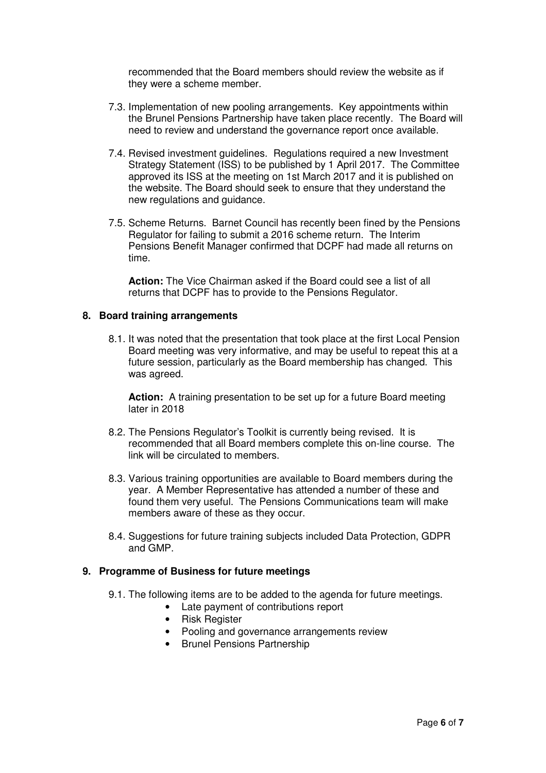recommended that the Board members should review the website as if they were a scheme member.

- 7.3. Implementation of new pooling arrangements. Key appointments within the Brunel Pensions Partnership have taken place recently. The Board will need to review and understand the governance report once available.
- 7.4. Revised investment guidelines. Regulations required a new Investment Strategy Statement (ISS) to be published by 1 April 2017. The Committee approved its ISS at the meeting on 1st March 2017 and it is published on the website. The Board should seek to ensure that they understand the new regulations and guidance.
- 7.5. Scheme Returns. Barnet Council has recently been fined by the Pensions Regulator for failing to submit a 2016 scheme return. The Interim Pensions Benefit Manager confirmed that DCPF had made all returns on time.

**Action:** The Vice Chairman asked if the Board could see a list of all returns that DCPF has to provide to the Pensions Regulator.

#### **8. Board training arrangements**

8.1. It was noted that the presentation that took place at the first Local Pension Board meeting was very informative, and may be useful to repeat this at a future session, particularly as the Board membership has changed. This was agreed.

**Action:** A training presentation to be set up for a future Board meeting later in 2018

- 8.2. The Pensions Regulator's Toolkit is currently being revised. It is recommended that all Board members complete this on-line course. The link will be circulated to members.
- 8.3. Various training opportunities are available to Board members during the year. A Member Representative has attended a number of these and found them very useful. The Pensions Communications team will make members aware of these as they occur.
- 8.4. Suggestions for future training subjects included Data Protection, GDPR and GMP.

#### **9. Programme of Business for future meetings**

- 9.1. The following items are to be added to the agenda for future meetings.
	- Late payment of contributions report
	- Risk Register
	- Pooling and governance arrangements review
	- Brunel Pensions Partnership